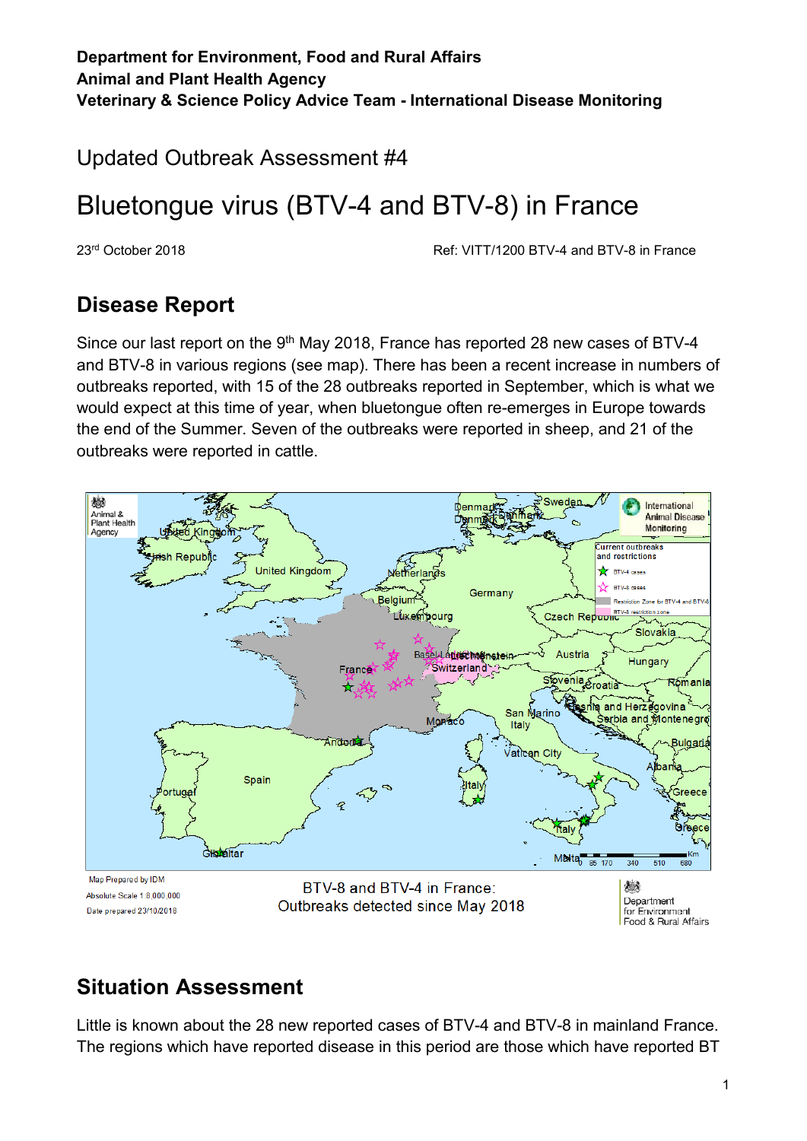Updated Outbreak Assessment #4

# Bluetongue virus (BTV-4 and BTV-8) in France

23rd October 2018 Ref: VITT/1200 BTV-4 and BTV-8 in France

### **Disease Report**

Since our last report on the 9<sup>th</sup> May 2018, France has reported 28 new cases of BTV-4 and BTV-8 in various regions (see map). There has been a recent increase in numbers of outbreaks reported, with 15 of the 28 outbreaks reported in September, which is what we would expect at this time of year, when bluetongue often re-emerges in Europe towards the end of the Summer. Seven of the outbreaks were reported in sheep, and 21 of the outbreaks were reported in cattle.



## **Situation Assessment**

Little is known about the 28 new reported cases of BTV-4 and BTV-8 in mainland France. The regions which have reported disease in this period are those which have reported BT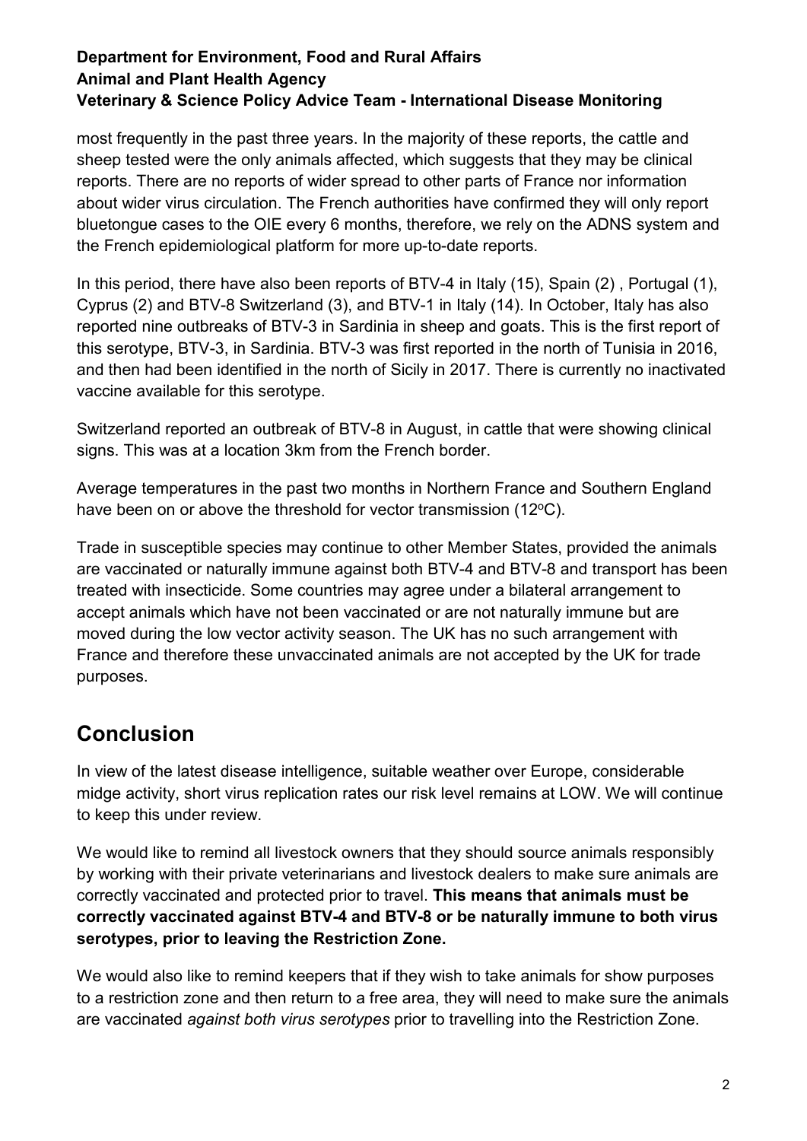#### **Department for Environment, Food and Rural Affairs Animal and Plant Health Agency Veterinary & Science Policy Advice Team - International Disease Monitoring**

most frequently in the past three years. In the majority of these reports, the cattle and sheep tested were the only animals affected, which suggests that they may be clinical reports. There are no reports of wider spread to other parts of France nor information about wider virus circulation. The French authorities have confirmed they will only report bluetongue cases to the OIE every 6 months, therefore, we rely on the ADNS system and the French epidemiological platform for more up-to-date reports.

In this period, there have also been reports of BTV-4 in Italy (15), Spain (2), Portugal (1), Cyprus (2) and BTV-8 Switzerland (3), and BTV-1 in Italy (14). In October, Italy has also reported nine outbreaks of BTV-3 in Sardinia in sheep and goats. This is the first report of this serotype, BTV-3, in Sardinia. BTV-3 was first reported in the north of Tunisia in 2016, and then had been identified in the north of Sicily in 2017. There is currently no inactivated vaccine available for this serotype.

Switzerland reported an outbreak of BTV-8 in August, in cattle that were showing clinical signs. This was at a location 3km from the French border.

Average temperatures in the past two months in Northern France and Southern England have been on or above the threshold for vector transmission (12°C).

Trade in susceptible species may continue to other Member States, provided the animals are vaccinated or naturally immune against both BTV-4 and BTV-8 and transport has been treated with insecticide. Some countries may agree under a bilateral arrangement to accept animals which have not been vaccinated or are not naturally immune but are moved during the low vector activity season. The UK has no such arrangement with France and therefore these unvaccinated animals are not accepted by the UK for trade purposes.

## **Conclusion**

In view of the latest disease intelligence, suitable weather over Europe, considerable midge activity, short virus replication rates our risk level remains at LOW. We will continue to keep this under review.

We would like to remind all livestock owners that they should source animals responsibly by working with their private veterinarians and livestock dealers to make sure animals are correctly vaccinated and protected prior to travel. **This means that animals must be correctly vaccinated against BTV-4 and BTV-8 or be naturally immune to both virus serotypes, prior to leaving the Restriction Zone.**

We would also like to remind keepers that if they wish to take animals for show purposes to a restriction zone and then return to a free area, they will need to make sure the animals are vaccinated *against both virus serotypes* prior to travelling into the Restriction Zone.